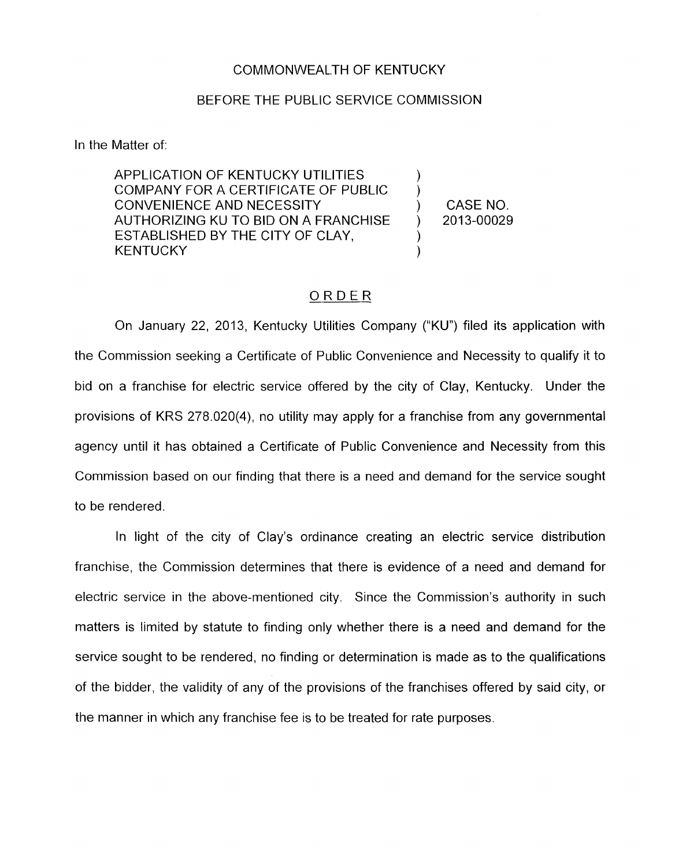## COMMONWEAL.TH OF KENTUCKY

## BEFORE THE PUBLIC SERVICE COMMISSION

In the Matter of:

APPLICATION OF KENTUCKY UTILITIES COMPANY FOR A CERTIFICATE OF PUBLIC CONVENIENCE AND NECESSITY (CONVENIENCE AND NECESSITY AUTHORIZING KU TO BID ON A FRANCHISE ) 2013-00029 ESTABLISHED BY THE CITY OF CLAY, **KENTUCKY** 

) )

## ORDER

On January 22, 2013, Kentucky Utilities Company ("KU") filed its application with the Commission seeking a Certificate of Public Convenience and Necessity to qualify it to bid on a franchise for electric service offered by the city of Clay, Kentucky. Under the provisions of KRS 278.020(4), no utility may apply for a franchise from any governmental agency until it has obtained a Certificate of Public Convenience and Necessity from this Commission based on our finding that there is a need and demand for the service sought to be rendered.

In light of the city of Clay's ordinance creating an electric service distribution franchise, the Commission determines that there is evidence of a need and demand for electric service in the above-mentioned city. Since the Commission's authority in such matters is limited by statute to finding only whether there is a need and demand for the service sought to be rendered, no finding or determination is made as to the qualifications of the bidder, the validity of any of the provisions of the franchises offered by said city, or the manner in which any franchise fee is to be treated for rate purposes.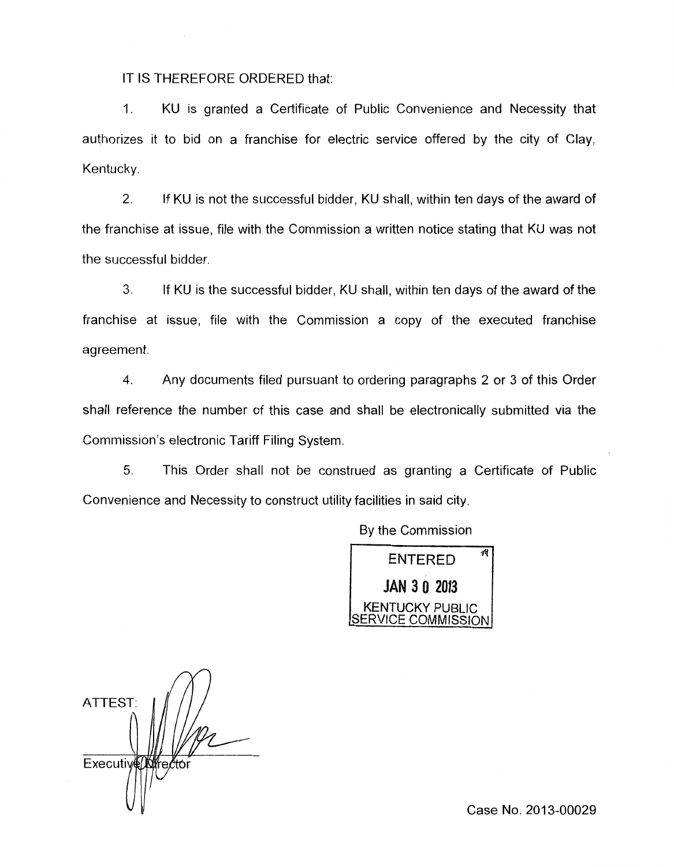IT IS THEREFORE ORDERED that:

1. KU is granted a Certificate of Public Convenience and Necessity that authorizes it to bid on a franchise for electric service offered by the city of Clay, Kentucky.

2. If KU is not the successful bidder, KU shall, within ten days of the award of the franchise at issue, file with the Commission a written notice stating that KU was not the successful bidder

**3.** If KU is the successful bidder, KU shall, within ten days of the award of the franchise at issue, file with the Commission a copy of the executed franchise agreement.

**4.** Any documents filed pursuant to ordering paragraphs 2 or 3 of this Order shall reference the number of this case and shall be electronically submitted via the Commission's electronic Tariff Filing System.

*5.* This Order shall not be construed as granting a Certificate of Public Convenience and Necessity to construct utility facilities in said city.

By the Commission



ATTEST: Executive<sup>nt</sup> rector

Case No. 2013-00029